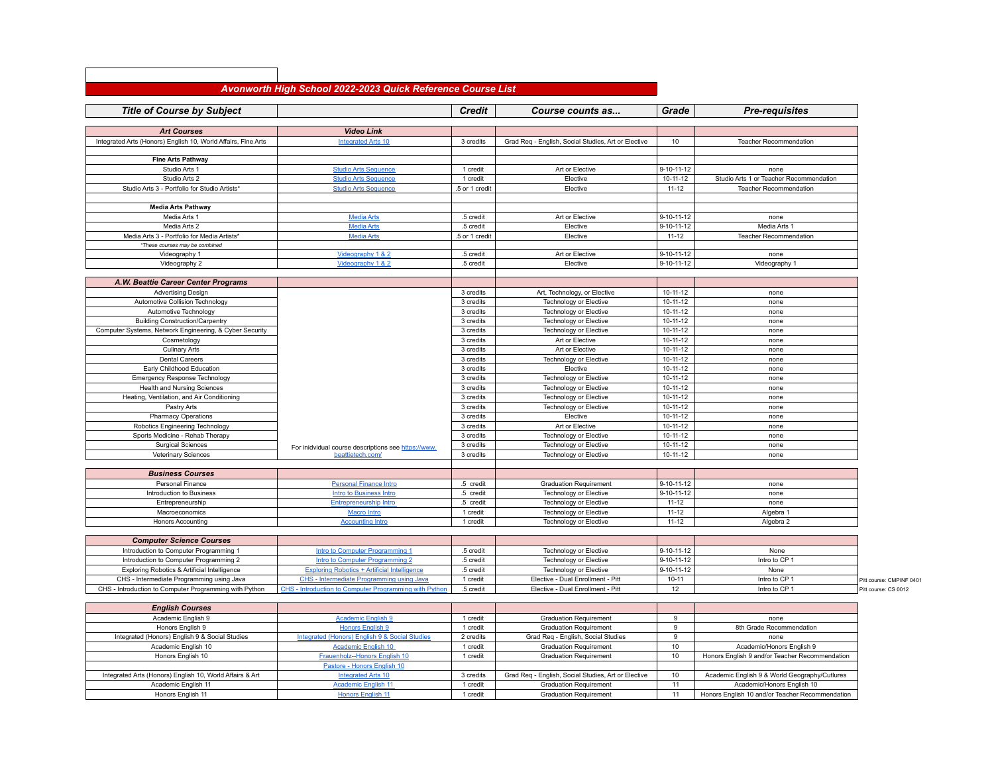## *Avonworth High School 2022-2023 Quick Reference Course List*

| <b>Title of Course by Subject</b>                                     |                                                            | <b>Credit</b>          | Course counts as                                                    | Grade                            | <b>Pre-requisites</b>                                                       |                          |
|-----------------------------------------------------------------------|------------------------------------------------------------|------------------------|---------------------------------------------------------------------|----------------------------------|-----------------------------------------------------------------------------|--------------------------|
|                                                                       |                                                            |                        |                                                                     |                                  |                                                                             |                          |
| <b>Art Courses</b>                                                    | <b>Video Link</b>                                          |                        |                                                                     |                                  |                                                                             |                          |
| Integrated Arts (Honors) English 10, World Affairs, Fine Arts         | <b>Integrated Arts 10</b>                                  | 3 credits              | Grad Req - English, Social Studies, Art or Elective                 | 10                               | <b>Teacher Recommendation</b>                                               |                          |
|                                                                       |                                                            |                        |                                                                     |                                  |                                                                             |                          |
| <b>Fine Arts Pathway</b>                                              |                                                            |                        | Art or Elective                                                     | $9 - 10 - 11 - 12$               | none                                                                        |                          |
| Studio Arts 1<br>Studio Arts 2                                        | <b>Studio Arts Sequence</b><br><b>Studio Arts Sequence</b> | 1 credit<br>1 credit   | Elective                                                            | $10 - 11 - 12$                   | Studio Arts 1 or Teacher Recommendation                                     |                          |
| Studio Arts 3 - Portfolio for Studio Artists*                         | <b>Studio Arts Sequence</b>                                | .5 or 1 credit         | Elective                                                            | $11 - 12$                        | Teacher Recommendation                                                      |                          |
|                                                                       |                                                            |                        |                                                                     |                                  |                                                                             |                          |
| <b>Media Arts Pathway</b>                                             |                                                            |                        |                                                                     |                                  |                                                                             |                          |
| Media Arts 1                                                          | <b>Media Arts</b>                                          | .5 credit              | Art or Elective                                                     | $9 - 10 - 11 - 12$               | none                                                                        |                          |
| Media Arts 2                                                          | <b>Media Arts</b>                                          | .5 credit              | Elective                                                            | $9 - 10 - 11 - 12$               | Media Arts 1                                                                |                          |
| Media Arts 3 - Portfolio for Media Artists*                           | <b>Media Arts</b>                                          | .5 or 1 credit         | Elective                                                            | $11 - 12$                        | <b>Teacher Recommendation</b>                                               |                          |
| *These courses may be combined                                        |                                                            |                        |                                                                     |                                  |                                                                             |                          |
| Videography 1                                                         | Videography 1 & 2                                          | .5 credit              | Art or Elective                                                     | $9 - 10 - 11 - 12$               | none                                                                        |                          |
| Videography 2                                                         | Videography 1 & 2                                          | .5 credit              | Elective                                                            | $9 - 10 - 11 - 12$               | Videography 1                                                               |                          |
|                                                                       |                                                            |                        |                                                                     |                                  |                                                                             |                          |
| A.W. Beattie Career Center Programs                                   |                                                            |                        |                                                                     |                                  |                                                                             |                          |
| <b>Advertising Design</b>                                             |                                                            | 3 credits              | Art, Technology, or Elective                                        | $10 - 11 - 12$                   | none                                                                        |                          |
| Automotive Collision Technology                                       |                                                            | 3 credits              | <b>Technology or Elective</b>                                       | $10 - 11 - 12$                   | none                                                                        |                          |
| Automotive Technology                                                 |                                                            | 3 credits              | Technology or Elective                                              | $10 - 11 - 12$                   | none                                                                        |                          |
| <b>Building Construction/Carpentry</b>                                |                                                            | 3 credits              | <b>Technology or Elective</b>                                       | $10 - 11 - 12$                   | none                                                                        |                          |
| Computer Systems, Network Engineering, & Cyber Security               |                                                            | 3 credits              | Technology or Elective                                              | 10-11-12                         | none                                                                        |                          |
| Cosmetology                                                           |                                                            | 3 credits              | Art or Elective                                                     | $10 - 11 - 12$                   | none                                                                        |                          |
| <b>Culinary Arts</b>                                                  |                                                            | 3 credits              | Art or Elective                                                     | $10 - 11 - 12$                   | none                                                                        |                          |
| <b>Dental Careers</b><br>Early Childhood Education                    |                                                            | 3 credits<br>3 credits | Technology or Elective<br>Elective                                  | $10 - 11 - 12$<br>$10 - 11 - 12$ | none<br>none                                                                |                          |
| <b>Emergency Response Technology</b>                                  |                                                            | 3 credits              | <b>Technology or Elective</b>                                       | $10 - 11 - 12$                   | none                                                                        |                          |
| <b>Health and Nursing Sciences</b>                                    |                                                            | 3 credits              | <b>Technology or Elective</b>                                       | $10 - 11 - 12$                   | none                                                                        |                          |
| Heating, Ventilation, and Air Conditioning                            |                                                            | 3 credits              | <b>Technology or Elective</b>                                       | $10 - 11 - 12$                   | none                                                                        |                          |
| Pastry Arts                                                           |                                                            | 3 credits              | <b>Technology or Elective</b>                                       | $10 - 11 - 12$                   | none                                                                        |                          |
| <b>Pharmacy Operations</b>                                            |                                                            | 3 credits              | Elective                                                            | $10 - 11 - 12$                   | none                                                                        |                          |
| Robotics Engineering Technology                                       |                                                            | 3 credits              | Art or Elective                                                     | $10 - 11 - 12$                   | none                                                                        |                          |
| Sports Medicine - Rehab Therapy                                       |                                                            | 3 credits              | <b>Technology or Elective</b>                                       | $10 - 11 - 12$                   | none                                                                        |                          |
| <b>Surgical Sciences</b>                                              | For inidvidual course descriptions see https://www.        | 3 credits              | Technology or Elective                                              | $10 - 11 - 12$                   | none                                                                        |                          |
| Veterinary Sciences                                                   | beattietech.com/                                           | 3 credits              | Technology or Elective                                              | $10 - 11 - 12$                   | none                                                                        |                          |
|                                                                       |                                                            |                        |                                                                     |                                  |                                                                             |                          |
| <b>Business Courses</b>                                               |                                                            |                        |                                                                     |                                  |                                                                             |                          |
| Personal Finance                                                      | <b>Personal Finance Intro</b>                              | .5 credit              | <b>Graduation Requirement</b>                                       | $9 - 10 - 11 - 12$               | none                                                                        |                          |
| Introduction to Business                                              | <b>Intro to Business Intro</b>                             | .5 credit              | Technology or Elective                                              | $9 - 10 - 11 - 12$               | none                                                                        |                          |
| Entrepreneurship                                                      | <b>Entrepreneurship Intro</b>                              | .5 credit              | Technology or Elective                                              | $11 - 12$                        | none                                                                        |                          |
| Macroeconomics                                                        | <b>Macro Intro</b>                                         | 1 credit               | <b>Technology or Elective</b>                                       | $11 - 12$                        | Algebra 1                                                                   |                          |
| <b>Honors Accounting</b>                                              | <b>Accounting Intro</b>                                    | 1 credit               | <b>Technology or Elective</b>                                       | $11 - 12$                        | Algebra 2                                                                   |                          |
|                                                                       |                                                            |                        |                                                                     |                                  |                                                                             |                          |
| <b>Computer Science Courses</b>                                       |                                                            |                        |                                                                     |                                  |                                                                             |                          |
| Introduction to Computer Programming 1                                | Intro to Computer Programming 1                            | .5 credit              | <b>Technology or Elective</b>                                       | $9 - 10 - 11 - 12$               | None                                                                        |                          |
| Introduction to Computer Programming 2                                | Intro to Computer Programming 2                            | .5 credit              | <b>Technology or Elective</b>                                       | $9 - 10 - 11 - 12$               | Intro to CP 1                                                               |                          |
| Exploring Robotics & Artificial Intelligence                          | <b>Exploring Robotics + Artificial Intelligence</b>        | .5 credit              | Technology or Elective                                              | $9 - 10 - 11 - 12$               | None                                                                        |                          |
| CHS - Intermediate Programming using Java                             | CHS - Intermediate Programming using Java                  | 1 credit               | Elective - Dual Enrollment - Pitt                                   | $10 - 11$                        | Intro to CP 1                                                               | Pitt course: CMPINF 0401 |
| CHS - Introduction to Computer Programming with Python                | CHS - Introduction to Computer Programming with Python     | .5 credit              | Elective - Dual Enrollment - Pitt                                   | 12                               | Intro to CP 1                                                               | Pitt course: CS 0012     |
|                                                                       |                                                            |                        |                                                                     |                                  |                                                                             |                          |
| <b>English Courses</b>                                                |                                                            |                        |                                                                     |                                  |                                                                             |                          |
| Academic English 9                                                    | <b>Academic English 9</b>                                  | 1 credit               | <b>Graduation Requirement</b>                                       | 9                                | none                                                                        |                          |
| Honors English 9                                                      | <b>Honors English 9</b>                                    | 1 credit               | <b>Graduation Requirement</b>                                       | 9                                | 8th Grade Recommendation                                                    |                          |
| Integrated (Honors) English 9 & Social Studies<br>Academic English 10 | Integrated (Honors) English 9 & Social Studies             | 2 credits              | Grad Reg - English, Social Studies<br><b>Graduation Requirement</b> | 9<br>10                          | none                                                                        |                          |
| Honors English 10                                                     | <b>Academic English 10</b><br>Frauenholz-Honors English 10 | 1 credit<br>1 credit   | <b>Graduation Requirement</b>                                       | 10                               | Academic/Honors English 9<br>Honors English 9 and/or Teacher Recommendation |                          |
|                                                                       |                                                            |                        |                                                                     |                                  |                                                                             |                          |
| Integrated Arts (Honors) English 10, World Affairs & Art              | Pastore - Honors English 10<br><b>Integrated Arts 10</b>   | 3 credits              | Grad Req - English, Social Studies, Art or Elective                 | 10                               | Academic English 9 & World Geography/Cutlures                               |                          |
| Academic English 11                                                   | <b>Academic English 11</b>                                 | 1 credit               | <b>Graduation Requirement</b>                                       | 11                               | Academic/Honors English 10                                                  |                          |
| Honors English 11                                                     | <b>Honors English 11</b>                                   | 1 credit               | <b>Graduation Requirement</b>                                       | 11                               | Honors English 10 and/or Teacher Recommendation                             |                          |
|                                                                       |                                                            |                        |                                                                     |                                  |                                                                             |                          |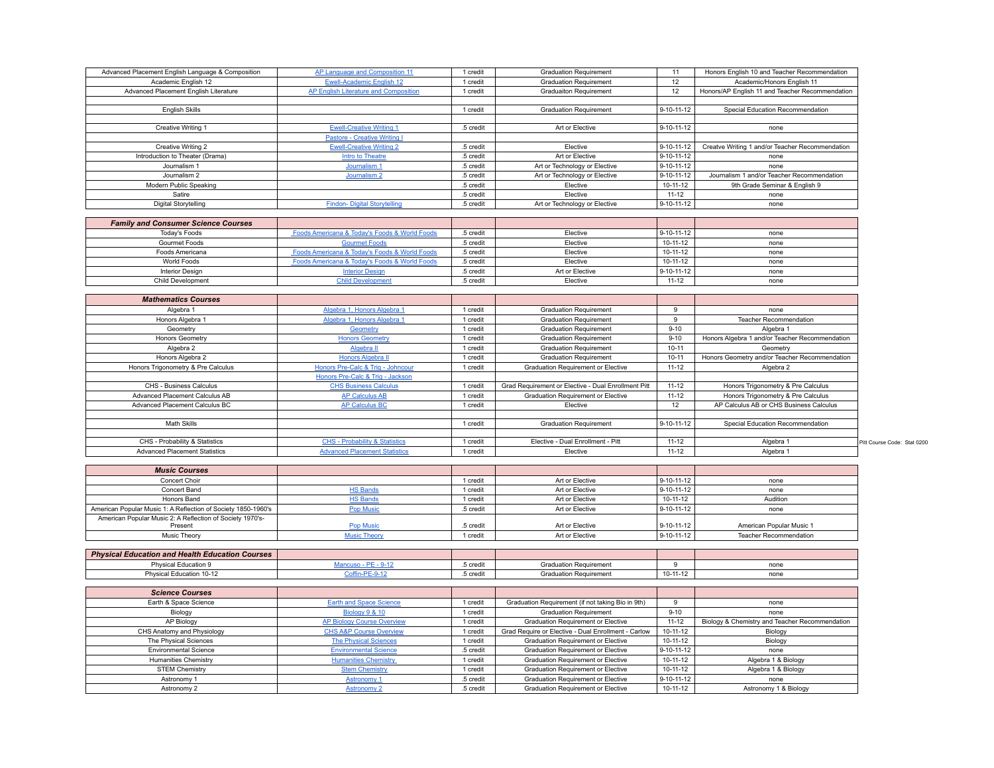| Advanced Placement English Language & Composition | AP Language and Composition 11                | 1 credit  | <b>Graduation Requirement</b> | 11                 | Honors English 10 and Teacher Recommendation    |
|---------------------------------------------------|-----------------------------------------------|-----------|-------------------------------|--------------------|-------------------------------------------------|
| Academic English 12                               | Ewell-Academic English 12                     | 1 credit  | <b>Graduation Requirement</b> | 12                 | Academic/Honors English 11                      |
| Advanced Placement English Literature             | AP English Literature and Composition         | 1 credit  | <b>Graduaiton Requirement</b> | 12                 | Honors/AP English 11 and Teacher Recommendation |
|                                                   |                                               |           |                               |                    |                                                 |
| <b>English Skills</b>                             |                                               | 1 credit  | <b>Graduation Requirement</b> | 9-10-11-12         | Special Education Recommendation                |
|                                                   |                                               |           |                               |                    |                                                 |
| Creative Writing 1                                | <b>Ewell-Creative Writing 1</b>               | .5 credit | Art or Elective               | $9 - 10 - 11 - 12$ | none                                            |
|                                                   | Pastore - Creative Writing I                  |           |                               |                    |                                                 |
| Creative Writing 2                                | <b>Ewell-Creative Writing 2</b>               | .5 credit | Elective                      | $9 - 10 - 11 - 12$ | Creatve Writing 1 and/or Teacher Recommendation |
| Introduction to Theater (Drama)                   | Intro to Theatre                              | .5 credit | Art or Elective               | $9 - 10 - 11 - 12$ | none                                            |
| Journalism 1                                      | Journalism 1                                  | .5 credit | Art or Technology or Elective | $9 - 10 - 11 - 12$ | none                                            |
| Journalism 2                                      | Journalism 2                                  | .5 credit | Art or Technology or Elective | $9 - 10 - 11 - 12$ | Journalism 1 and/or Teacher Recommendation      |
| Modern Public Speaking                            |                                               | .5 credit | Elective                      | $10 - 11 - 12$     | 9th Grade Seminar & English 9                   |
| Satire                                            |                                               | .5 credit | Elective                      | $11 - 12$          | none                                            |
| Digital Storytelling                              | <b>Findon-Digital Storytelling</b>            | .5 credit | Art or Technology or Elective | 9-10-11-12         | none                                            |
|                                                   |                                               |           |                               |                    |                                                 |
| <b>Family and Consumer Science Courses</b>        |                                               |           |                               |                    |                                                 |
| Today's Epode                                     | Epode Americana & Today's Epode & World Epode | F cradit  | Elective                      | 0.10.11.12         | none                                            |

| Todav's Foods     | Foods Americana & Today's Foods & World Foods | 5 credit | Elective        | 9-10-11-12   | none |
|-------------------|-----------------------------------------------|----------|-----------------|--------------|------|
| Gourmet Foods     | <b>Gourmet Foods</b>                          | 5 credit | Elective        | 10-11-12     | none |
| Foods Americana   | Foods Americana & Today's Foods & World Foods | 5 credit | Elective        | $10-11-12$   | none |
| World Foods       | Foods Americana & Today's Foods & World Foods | 5 credit | Elective        | $10-11-12$   | none |
| Interior Design   | <b>Interior Design</b>                        | 5 credit | Art or Elective | $9-10-11-12$ | none |
| Child Development | <b>Child Development</b>                      | 5 credit | Elective        | $11 - 12$    | none |

| <b>Mathematics Courses</b>           |                                           |          |                                                     |                    |                                                |                             |
|--------------------------------------|-------------------------------------------|----------|-----------------------------------------------------|--------------------|------------------------------------------------|-----------------------------|
| Algebra 1                            | Algebra 1, Honors Algebra 1               | 1 credit | <b>Graduation Requirement</b>                       |                    | none                                           |                             |
| Honors Algebra 1                     | Algebra 1, Honors Algebra 1               | credit   | <b>Graduation Requirement</b>                       |                    | <b>Teacher Recommendation</b>                  |                             |
| Geometry                             | Geometry                                  | 1 credit | <b>Graduation Requirement</b>                       | $9 - 10$           | Algebra 1                                      |                             |
| <b>Honors Geometry</b>               | <b>Honors Geometry</b>                    | credit   | <b>Graduation Requirement</b>                       | $9 - 10$           | Honors Algebra 1 and/or Teacher Recommendation |                             |
| Algebra 2                            | Algebra II                                | credit   | <b>Graduation Requirement</b>                       | $10 - 11$          | Geometry                                       |                             |
| Honors Algebra 2                     | <b>Honors Algebra II</b>                  | 1 credit | <b>Graduation Requirement</b>                       | $10 - 11$          | Honors Geometry and/or Teacher Recommendation  |                             |
| Honors Trigonometry & Pre Calculus   | Honors Pre-Calc & Trig - Johncour         | credit   | <b>Graduation Requirement or Elective</b>           | $11 - 12$          | Algebra 2                                      |                             |
|                                      | Honors Pre-Calc & Trig - Jackson          |          |                                                     |                    |                                                |                             |
| CHS - Business Calculus              | <b>CHS Business Calculus</b>              | 1 credit | Grad Requirement or Elective - Dual Enrollment Pitt | $11 - 12$          | Honors Trigonometry & Pre Calculus             |                             |
| Advanced Placement Calculus AB       | <b>AP Calculus AB</b>                     | credit   | <b>Graduation Requirement or Elective</b>           | $11 - 12$          | Honors Trigonometry & Pre Calculus             |                             |
| Advanced Placement Calculus BC       | <b>AP Calculus BC</b>                     | 1 credit | Elective                                            | 12                 | AP Calculus AB or CHS Business Calculus        |                             |
|                                      |                                           |          |                                                     |                    |                                                |                             |
| Math Skills                          |                                           | 1 credit | <b>Graduation Requirement</b>                       | $9 - 10 - 11 - 12$ | Special Education Recommendation               |                             |
|                                      |                                           |          |                                                     |                    |                                                |                             |
| CHS - Probability & Statistics       | <b>CHS - Probability &amp; Statistics</b> | credit   | Elective - Dual Enrollment - Pitt                   | $11 - 12$          | Algebra 1                                      | Pitt Course Code: Stat 0200 |
| <b>Advanced Placement Statistics</b> | <b>Advanced Placement Statistics</b>      | 1 credit | Elective                                            | $11 - 12$          | Algebra 1                                      |                             |

| <b>Music Courses</b>                                          |                     |          |                 |              |                          |
|---------------------------------------------------------------|---------------------|----------|-----------------|--------------|--------------------------|
| Concert Choir                                                 |                     | 1 credit | Art or Elective | $9-10-11-12$ | none                     |
| Concert Band                                                  | <b>HS Bands</b>     | 1 credit | Art or Elective | 9-10-11-12   | none                     |
| Honors Band                                                   | <b>HS Bands</b>     | 1 credit | Art or Elective | 10-11-12     | Audition                 |
| American Popular Music 1: A Reflection of Society 1850-1960's | <b>Pop Music</b>    | 5 credit | Art or Elective | 9-10-11-12   | none                     |
| American Popular Music 2: A Reflection of Society 1970's-     |                     |          |                 |              |                          |
| Present                                                       | <b>Pop Music</b>    | 5 credit | Art or Elective | 9-10-11-12   | American Popular Music 1 |
| Music Theory                                                  | <b>Music Theory</b> | 1 credit | Art or Elective | 9-10-11-12   | Teacher Recommendation   |

| <b>Physical Education and Health Education Courses</b> |           |                               |            |      |
|--------------------------------------------------------|-----------|-------------------------------|------------|------|
| Physical Education 9                                   | .5 credit | <b>Graduation Requirement</b> |            | none |
| Physical Education 10-12                               | .5 credit | <b>Graduation Requirement</b> | $10-11-12$ | none |

| <b>Science Courses</b>       |                                    |           |                                                     |                |                                                |
|------------------------------|------------------------------------|-----------|-----------------------------------------------------|----------------|------------------------------------------------|
| Earth & Space Science        | <b>Earth and Space Science</b>     | 1 credit  | Graduation Requirement (if not taking Bio in 9th)   |                | none                                           |
| Biology                      | Biology 9 & 10                     | 1 credit  | <b>Graduation Requirement</b>                       | $9 - 10$       | none                                           |
| AP Biology                   | AP Biology Course Overview         | 1 credit  | Graduation Requirement or Elective                  | $11 - 12$      | Biology & Chemistry and Teacher Recommendation |
| CHS Anatomy and Physiology   | <b>CHS A&amp;P Course Overview</b> | 1 credit  | Grad Require or Elective - Dual Enrollment - Carlow | 10-11-12       | Biology                                        |
| The Physical Sciences        | <b>The Physical Sciences</b>       | 1 credit  | Graduation Requirement or Elective                  | $10 - 11 - 12$ | Biology                                        |
| <b>Environmental Science</b> | <b>Environmental Science</b>       | .5 credit | Graduation Requirement or Elective                  | 9-10-11-12     | none                                           |
| Humanities Chemistry         | <b>Humanities Chemistry</b>        | 1 credit  | Graduation Requirement or Elective                  | 10-11-12       | Algebra 1 & Biology                            |
| <b>STEM Chemistry</b>        | <b>Stem Chemistry</b>              | 1 credit  | Graduation Requirement or Elective                  | $10 - 11 - 12$ | Algebra 1 & Biology                            |
| Astronomy 1                  | <b>Astronomy 1</b>                 | .5 credit | Graduation Requirement or Elective                  | 9-10-11-12     | none                                           |
| Astronomy 2                  | <b>Astronomy 2</b>                 | .5 credit | Graduation Requirement or Elective                  | 10-11-12       | Astronomy 1 & Biology                          |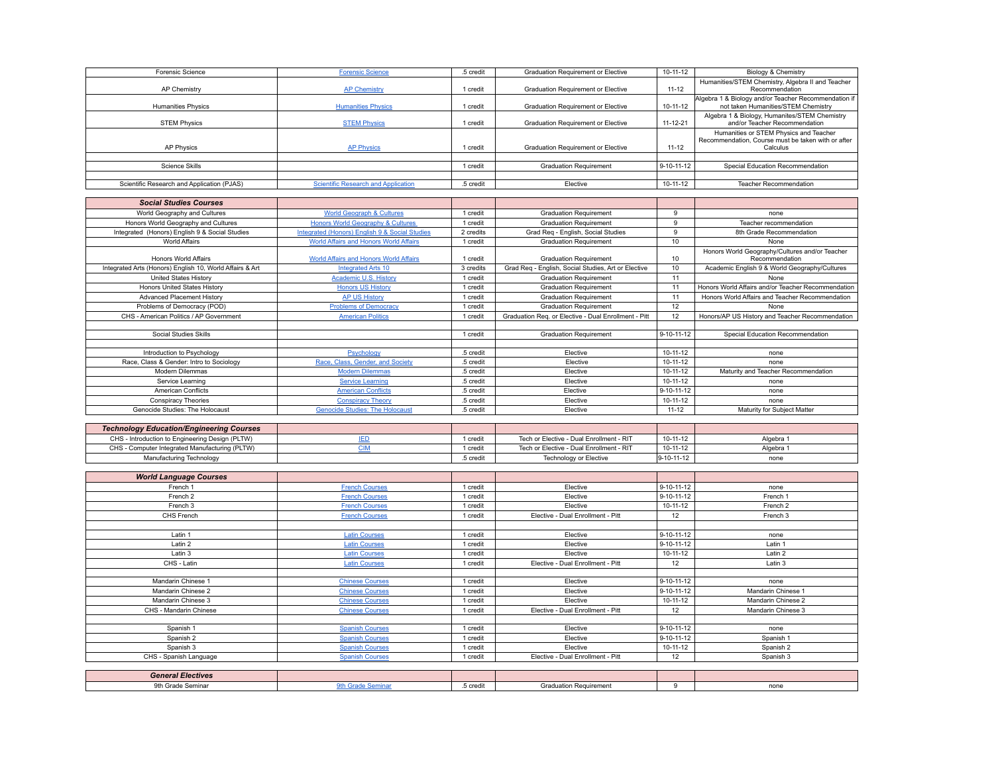| <b>Forensic Science</b>                    | <b>Forensic Science</b>                    | .5 credit | <b>Graduation Requirement or Elective</b> | 10-11-12       | Biology & Chemistry                                                                                      |
|--------------------------------------------|--------------------------------------------|-----------|-------------------------------------------|----------------|----------------------------------------------------------------------------------------------------------|
| AP Chemistry                               | <b>AP Chemistry</b>                        | credit    | <b>Graduation Requirement or Elective</b> | $11 - 12$      | Humanities/STEM Chemistry, Algebra II and Teacher<br>Recommendation                                      |
| <b>Humanities Physics</b>                  | <b>Humanities Physics</b>                  | credit    | <b>Graduation Requirement or Elective</b> | 10-11-12       | Algebra 1 & Biology and/or Teacher Recommendation if<br>not taken Humanities/STEM Chemistry              |
| <b>STEM Physics</b>                        | <b>STEM Physics</b>                        | credit    | <b>Graduation Requirement or Elective</b> | $11 - 12 - 21$ | Algebra 1 & Biology, Humanites/STEM Chemistry<br>and/or Teacher Recommendation                           |
| <b>AP Physics</b>                          | <b>AP Physics</b>                          | credit    | <b>Graduation Requirement or Elective</b> | $11 - 12$      | Humanities or STEM Physics and Teacher<br>Recommendation, Course must be taken with or after<br>Calculus |
|                                            |                                            |           |                                           |                |                                                                                                          |
| Science Skills                             |                                            | credit    | <b>Graduation Requirement</b>             | 9-10-11-12     | Special Education Recommendation                                                                         |
|                                            |                                            |           |                                           |                |                                                                                                          |
| Scientific Research and Application (PJAS) | <b>Scientific Research and Application</b> | .5 credit | Elective                                  | 10-11-12       | <b>Teacher Recommendation</b>                                                                            |

| <b>Social Studies Courses</b>                            |                                                |           |                                                      |                    |                                                    |
|----------------------------------------------------------|------------------------------------------------|-----------|------------------------------------------------------|--------------------|----------------------------------------------------|
| World Geography and Cultures                             | <b>World Geograph &amp; Cultures</b>           | credit    | <b>Graduation Requirement</b>                        | q                  | none                                               |
| Honors World Geography and Cultures                      | <b>Honors World Geography &amp; Cultures</b>   | 1 credit  | <b>Graduation Requirement</b>                        | $\Omega$           | Teacher recommendation                             |
| Integrated (Honors) English 9 & Social Studies           | Integrated (Honors) English 9 & Social Studies | 2 credits | Grad Reg - English, Social Studies                   | a                  | 8th Grade Recommendation                           |
| World Affairs                                            | World Affairs and Honors World Affairs         | 1 credit  | <b>Graduation Requirement</b>                        | 10 <sup>1</sup>    | <b>None</b>                                        |
|                                                          |                                                |           |                                                      |                    | Honors World Geography/Cultures and/or Teacher     |
| Honors World Affairs                                     | <b>World Affairs and Honors World Affairs</b>  | 1 credit  | <b>Graduation Requirement</b>                        | 10                 | Recommendation                                     |
| Integrated Arts (Honors) English 10, World Affairs & Art | <b>Integrated Arts 10</b>                      | 3 credits | Grad Req - English, Social Studies, Art or Elective  | 10                 | Academic English 9 & World Geography/Cultures      |
| United States History                                    | Academic U.S. History                          | 1 credit  | <b>Graduation Requirement</b>                        | 11                 | <b>None</b>                                        |
| Honors United States History                             | <b>Honors US History</b>                       | 1 credit  | <b>Graduation Requirement</b>                        | 11                 | Honors World Affairs and/or Teacher Recommendation |
| Advanced Placement History                               | <b>AP US History</b>                           | 1 credit  | <b>Graduation Requirement</b>                        | 11                 | Honors World Affairs and Teacher Recommendation    |
| Problems of Democracy (POD)                              | <b>Problems of Democracy</b>                   | credit    | <b>Graduation Requirement</b>                        | 12                 | None                                               |
| CHS - American Politics / AP Government                  | <b>American Politics</b>                       | 1 credit  | Graduation Reg. or Elective - Dual Enrollment - Pitt | 12                 | Honors/AP US History and Teacher Recommendation    |
|                                                          |                                                |           |                                                      |                    |                                                    |
| Social Studies Skills                                    |                                                | 1 credit  | <b>Graduation Requirement</b>                        | $9 - 10 - 11 - 12$ | Special Education Recommendation                   |
|                                                          |                                                |           |                                                      |                    |                                                    |
| Introduction to Psychology                               | Psychology                                     | .5 credit | Elective                                             | $10-11-12$         | none                                               |
| Race, Class & Gender: Intro to Sociology                 | Race, Class, Gender, and Society               | .5 credit | Elective                                             | $10-11-12$         | none                                               |
| Modern Dilemmas                                          | <b>Modern Dilemmas</b>                         | .5 credit | Elective                                             | 10-11-12           | Maturity and Teacher Recommendation                |
| Service Learning                                         | <b>Service Learning</b>                        | .5 credit | Elective                                             | $10 - 11 - 12$     | none                                               |
| <b>American Conflicts</b>                                | <b>American Conflicts</b>                      | .5 credit | Elective                                             | $9 - 10 - 11 - 12$ | none                                               |
| <b>Conspiracy Theories</b>                               | <b>Conspiracy Theory</b>                       | .5 credit | Elective                                             | $10-11-12$         | none                                               |
| Genocide Studies: The Holocaust                          | <b>Genocide Studies: The Holocaust</b>         | .5 credit | Elective                                             | $11 - 12$          | Maturity for Subject Matter                        |

| <b>Technology Education/Engineering Courses</b> |           |                                          |                    |         |
|-------------------------------------------------|-----------|------------------------------------------|--------------------|---------|
| CHS - Introduction to Engineering Design (PLTW) | credi     | Tech or Elective - Dual Enrollment - RIT | 10-11-12           | Algebra |
| CHS - Computer Integrated Manufacturing (PLTW)  | credi     | Tech or Elective - Dual Enrollment - RIT | 10-11-12           | Algebra |
| Manufacturing Technology                        | .5 credit | Technology or Elective                   | $9 - 10 - 11 - 12$ | none    |

| <b>World Language Courses</b> |                        |           |                                   |                    |                    |
|-------------------------------|------------------------|-----------|-----------------------------------|--------------------|--------------------|
| French 1                      | <b>French Courses</b>  | 1 credit  | Elective                          | $9 - 10 - 11 - 12$ | none               |
| French 2                      | <b>French Courses</b>  | 1 credit  | Elective                          | $9 - 10 - 11 - 12$ | French 1           |
| French 3                      | <b>French Courses</b>  | 1 credit  | Elective                          | 10-11-12           | French 2           |
| CHS French                    | <b>French Courses</b>  | 1 credit  | Elective - Dual Enrollment - Pitt | 12                 | French 3           |
|                               |                        |           |                                   |                    |                    |
| Latin 1                       | <b>Latin Courses</b>   | 1 credit  | Elective                          | $9 - 10 - 11 - 12$ | none               |
| Latin 2                       | <b>Latin Courses</b>   | 1 credit  | Elective                          | $9 - 10 - 11 - 12$ | Latin 1            |
| Latin 3                       | <b>Latin Courses</b>   | 1 credit  | Elective                          | 10-11-12           | Latin 2            |
| CHS - Latin                   | <b>Latin Courses</b>   | 1 credit  | Elective - Dual Enrollment - Pitt | 12                 | Latin 3            |
|                               |                        |           |                                   |                    |                    |
| Mandarin Chinese 1            | <b>Chinese Courses</b> | 1 credit  | Elective                          | $9 - 10 - 11 - 12$ | none               |
| Mandarin Chinese 2            | <b>Chinese Courses</b> | 1 credit  | Elective                          | $9 - 10 - 11 - 12$ | Mandarin Chinese 1 |
| Mandarin Chinese 3            | <b>Chinese Courses</b> | 1 credit  | Elective                          | 10-11-12           | Mandarin Chinese 2 |
| CHS - Mandarin Chinese        | <b>Chinese Courses</b> | 1 credit  | Elective - Dual Enrollment - Pitt | 12                 | Mandarin Chinese 3 |
|                               |                        |           |                                   |                    |                    |
| Spanish 1                     | <b>Spanish Courses</b> | 1 credit  | Elective                          | $9 - 10 - 11 - 12$ | none               |
| Spanish 2                     | <b>Spanish Courses</b> | 1 credit  | Elective                          | $9 - 10 - 11 - 12$ | Spanish 1          |
| Spanish 3                     | <b>Spanish Courses</b> | 1 credit  | Elective                          | 10-11-12           | Spanish 2          |
| CHS - Spanish Language        | <b>Spanish Courses</b> | 1 credit  | Elective - Dual Enrollment - Pitt | 12                 | Spanish 3          |
|                               |                        |           |                                   |                    |                    |
| <b>General Electives</b>      |                        |           |                                   |                    |                    |
| 9th Grade Seminar             | 9th Grade Seminar      | .5 credit | <b>Graduation Requirement</b>     | 9                  | none               |